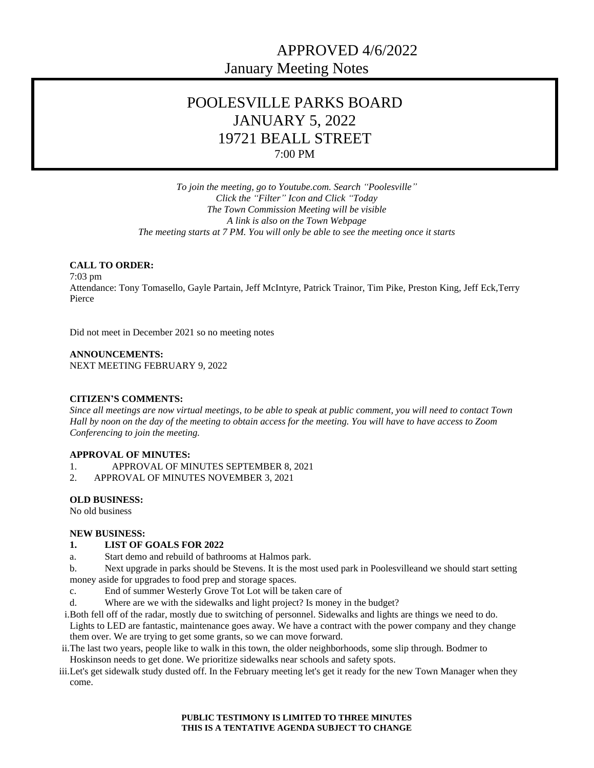# APPROVED 4/6/2022 January Meeting Notes

# POOLESVILLE PARKS BOARD JANUARY 5, 2022 19721 BEALL STREET 7:00 PM

*To join the meeting, go to Youtube.com. Search "Poolesville" Click the "Filter" Icon and Click "Today The Town Commission Meeting will be visible A link is also on the Town Webpage The meeting starts at 7 PM. You will only be able to see the meeting once it starts*

### **CALL TO ORDER:**

7:03 pm Attendance: Tony Tomasello, Gayle Partain, Jeff McIntyre, Patrick Trainor, Tim Pike, Preston King, Jeff Eck,Terry Pierce

Did not meet in December 2021 so no meeting notes

**ANNOUNCEMENTS:** NEXT MEETING FEBRUARY 9, 2022

#### **CITIZEN'S COMMENTS:**

*Since all meetings are now virtual meetings, to be able to speak at public comment, you will need to contact Town Hall by noon on the day of the meeting to obtain access for the meeting. You will have to have access to Zoom Conferencing to join the meeting.*

#### **APPROVAL OF MINUTES:**

- 1. APPROVAL OF MINUTES SEPTEMBER 8, 2021<br>2. APPROVAL OF MINUTES NOVEMBER 3, 2021
- 2. APPROVAL OF MINUTES NOVEMBER 3, 2021

#### **OLD BUSINESS:**

No old business

#### **NEW BUSINESS:**

#### **1. LIST OF GOALS FOR 2022**

- a. Start demo and rebuild of bathrooms at Halmos park.
- b. Next upgrade in parks should be Stevens. It is the most used park in Poolesvilleand we should start setting money aside for upgrades to food prep and storage spaces.
- c. End of summer Westerly Grove Tot Lot will be taken care of
- d. Where are we with the sidewalks and light project? Is money in the budget?
- i.Both fell off of the radar, mostly due to switching of personnel. Sidewalks and lights are things we need to do. Lights to LED are fantastic, maintenance goes away. We have a contract with the power company and they change them over. We are trying to get some grants, so we can move forward.
- ii.The last two years, people like to walk in this town, the older neighborhoods, some slip through. Bodmer to Hoskinson needs to get done. We prioritize sidewalks near schools and safety spots.
- iii.Let's get sidewalk study dusted off. In the February meeting let's get it ready for the new Town Manager when they come.

**PUBLIC TESTIMONY IS LIMITED TO THREE MINUTES THIS IS A TENTATIVE AGENDA SUBJECT TO CHANGE**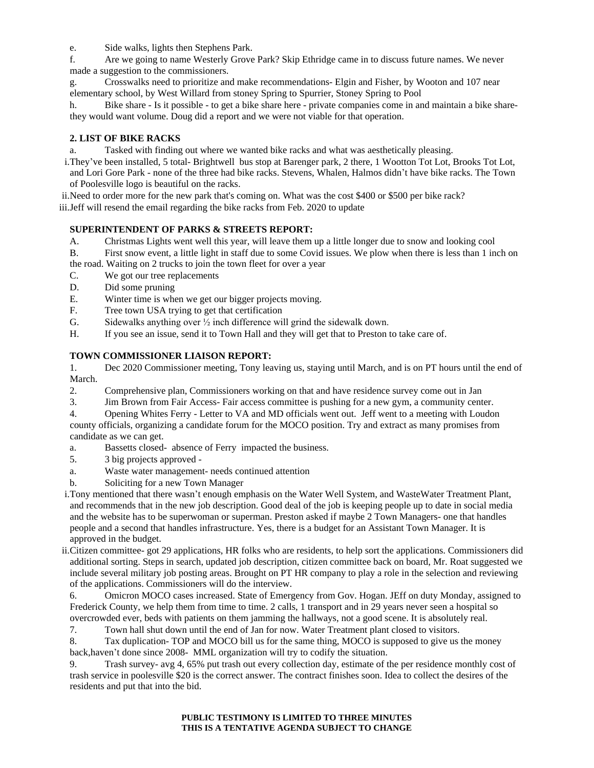e. Side walks, lights then Stephens Park.

f. Are we going to name Westerly Grove Park? Skip Ethridge came in to discuss future names. We never made a suggestion to the commissioners.

g. Crosswalks need to prioritize and make recommendations- Elgin and Fisher, by Wooton and 107 near elementary school, by West Willard from stoney Spring to Spurrier, Stoney Spring to Pool

h. Bike share - Is it possible - to get a bike share here - private companies come in and maintain a bike sharethey would want volume. Doug did a report and we were not viable for that operation.

## **2. LIST OF BIKE RACKS**

a. Tasked with finding out where we wanted bike racks and what was aesthetically pleasing.

i.They've been installed, 5 total- Brightwell bus stop at Barenger park, 2 there, 1 Wootton Tot Lot, Brooks Tot Lot, and Lori Gore Park - none of the three had bike racks. Stevens, Whalen, Halmos didn't have bike racks. The Town of Poolesville logo is beautiful on the racks.

ii.Need to order more for the new park that's coming on. What was the cost \$400 or \$500 per bike rack?

iii.Jeff will resend the email regarding the bike racks from Feb. 2020 to update

## **SUPERINTENDENT OF PARKS & STREETS REPORT:**

- A. Christmas Lights went well this year, will leave them up a little longer due to snow and looking cool
- B. First snow event, a little light in staff due to some Covid issues. We plow when there is less than 1 inch on
- the road. Waiting on 2 trucks to join the town fleet for over a year
- C. We got our tree replacements
- D. Did some pruning
- E. Winter time is when we get our bigger projects moving.
- F. Tree town USA trying to get that certification
- G. Sidewalks anything over  $\frac{1}{2}$  inch difference will grind the sidewalk down.
- H. If you see an issue, send it to Town Hall and they will get that to Preston to take care of.

### **TOWN COMMISSIONER LIAISON REPORT:**

1. Dec 2020 Commissioner meeting, Tony leaving us, staying until March, and is on PT hours until the end of March.

- 2. Comprehensive plan, Commissioners working on that and have residence survey come out in Jan
- 3. Jim Brown from Fair Access- Fair access committee is pushing for a new gym, a community center.
- 4. Opening Whites Ferry Letter to VA and MD officials went out. Jeff went to a meeting with Loudon

county officials, organizing a candidate forum for the MOCO position. Try and extract as many promises from candidate as we can get.

- a. Bassetts closed- absence of Ferry impacted the business.
- 5. 3 big projects approved -
- a. Waste water management- needs continued attention
- b. Soliciting for a new Town Manager

i.Tony mentioned that there wasn't enough emphasis on the Water Well System, and WasteWater Treatment Plant, and recommends that in the new job description. Good deal of the job is keeping people up to date in social media and the website has to be superwoman or superman. Preston asked if maybe 2 Town Managers- one that handles people and a second that handles infrastructure. Yes, there is a budget for an Assistant Town Manager. It is approved in the budget.

ii.Citizen committee- got 29 applications, HR folks who are residents, to help sort the applications. Commissioners did additional sorting. Steps in search, updated job description, citizen committee back on board, Mr. Roat suggested we include several military job posting areas. Brought on PT HR company to play a role in the selection and reviewing of the applications. Commissioners will do the interview.

6. Omicron MOCO cases increased. State of Emergency from Gov. Hogan. JEff on duty Monday, assigned to Frederick County, we help them from time to time. 2 calls, 1 transport and in 29 years never seen a hospital so overcrowded ever, beds with patients on them jamming the hallways, not a good scene. It is absolutely real.

7. Town hall shut down until the end of Jan for now. Water Treatment plant closed to visitors.

8. Tax duplication- TOP and MOCO bill us for the same thing, MOCO is supposed to give us the money back,haven't done since 2008- MML organization will try to codify the situation.

9. Trash survey- avg 4, 65% put trash out every collection day, estimate of the per residence monthly cost of trash service in poolesville \$20 is the correct answer. The contract finishes soon. Idea to collect the desires of the residents and put that into the bid.